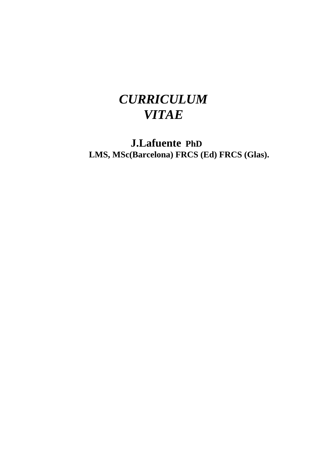# *CURRICULUM VITAE*

**J.Lafuente PhD LMS, MSc(Barcelona) FRCS (Ed) FRCS (Glas).**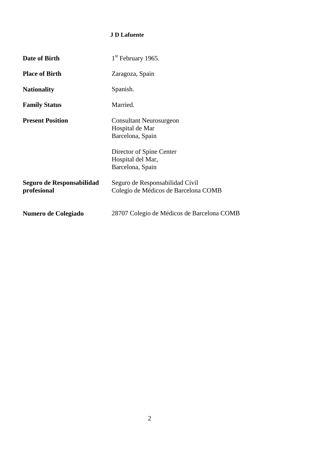#### **J D Lafuente**

| Date of Birth                            | $1st$ February 1965.                                                    |
|------------------------------------------|-------------------------------------------------------------------------|
| <b>Place of Birth</b>                    | Zaragoza, Spain                                                         |
| <b>Nationality</b>                       | Spanish.                                                                |
| <b>Family Status</b>                     | Married.                                                                |
| <b>Present Position</b>                  | <b>Consultant Neurosurgeon</b><br>Hospital de Mar<br>Barcelona, Spain   |
|                                          | Director of Spine Center<br>Hospital del Mar,<br>Barcelona, Spain       |
| Seguro de Responsabilidad<br>profesional | Seguro de Responsabilidad Civil<br>Colegio de Médicos de Barcelona COMB |
| Numero de Colegiado                      | 28707 Colegio de Médicos de Barcelona COMB                              |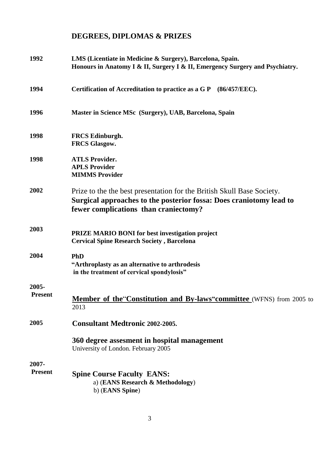# **DEGREES, DIPLOMAS & PRIZES**

| 1992                    | LMS (Licentiate in Medicine & Surgery), Barcelona, Spain.<br>Honours in Anatomy I & II, Surgery I & II, Emergency Surgery and Psychiatry.                                              |
|-------------------------|----------------------------------------------------------------------------------------------------------------------------------------------------------------------------------------|
| 1994                    | Certification of Accreditation to practice as a G P (86/457/EEC).                                                                                                                      |
| 1996                    | Master in Science MSc (Surgery), UAB, Barcelona, Spain                                                                                                                                 |
| 1998                    | <b>FRCS Edinburgh.</b><br><b>FRCS Glasgow.</b>                                                                                                                                         |
| 1998                    | <b>ATLS Provider.</b><br><b>APLS Provider</b><br><b>MIMMS Provider</b>                                                                                                                 |
| 2002                    | Prize to the the best presentation for the British Skull Base Society.<br>Surgical approaches to the posterior fossa: Does craniotomy lead to<br>fewer complications than craniectomy? |
| 2003                    | <b>PRIZE MARIO BONI for best investigation project</b><br><b>Cervical Spine Research Society, Barcelona</b>                                                                            |
| 2004                    | PhD<br>"Arthroplasty as an alternative to arthrodesis<br>in the treatment of cervical spondylosis"                                                                                     |
| 2005-<br><b>Present</b> | Member of the Constitution and By-laws"committee (WFNS) from 2005 to<br>2013                                                                                                           |
| 2005                    | <b>Consultant Medtronic 2002-2005.</b>                                                                                                                                                 |
|                         | 360 degree assesment in hospital management<br>University of London. February 2005                                                                                                     |
| 2007-                   |                                                                                                                                                                                        |
| <b>Present</b>          | <b>Spine Course Faculty EANS:</b><br>a) (EANS Research & Methodology)<br>b) (EANS Spine)                                                                                               |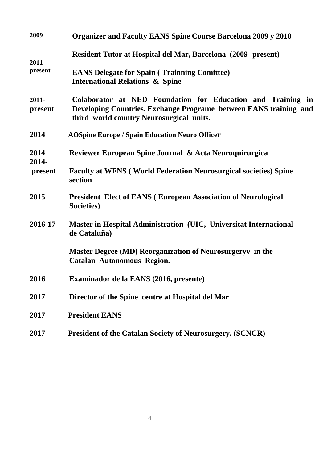| 2009                | <b>Organizer and Faculty EANS Spine Course Barcelona 2009 y 2010</b>                                                                                                         |
|---------------------|------------------------------------------------------------------------------------------------------------------------------------------------------------------------------|
| $2011 -$<br>present | Resident Tutor at Hospital del Mar, Barcelona (2009- present)                                                                                                                |
|                     | <b>EANS Delegate for Spain (Trainning Comittee)</b><br><b>International Relations &amp; Spine</b>                                                                            |
| $2011 -$<br>present | Colaborator at NED Foundation for Education and Training in<br>Developing Countries. Exchange Programe between EANS training and<br>third world country Neurosurgical units. |
| 2014                | <b>AOSpine Europe / Spain Education Neuro Officer</b>                                                                                                                        |
| 2014                | Reviewer European Spine Journal & Acta Neuroquirurgica                                                                                                                       |
| 2014-<br>present    | <b>Faculty at WFNS (World Federation Neurosurgical societies) Spine</b><br>section                                                                                           |
| 2015                | <b>President Elect of EANS (European Association of Neurological</b><br>Societies)                                                                                           |
| 2016-17             | Master in Hospital Administration (UIC, Universitat Internacional<br>de Cataluña)                                                                                            |
|                     | Master Degree (MD) Reorganization of Neurosurgeryv in the<br><b>Catalan Autonomous Region.</b>                                                                               |
| 2016                | Examinador de la EANS (2016, presente)                                                                                                                                       |
| 2017                | Director of the Spine centre at Hospital del Mar                                                                                                                             |
| 2017                | <b>President EANS</b>                                                                                                                                                        |
| 2017                | <b>President of the Catalan Society of Neurosurgery. (SCNCR)</b>                                                                                                             |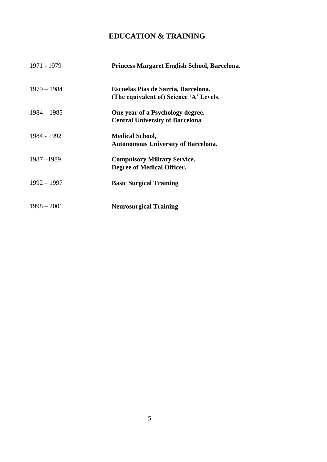# **EDUCATION & TRAINING**

| 1971 - 1979   | Princess Margaret English School, Barcelona.                                   |
|---------------|--------------------------------------------------------------------------------|
| $1979 - 1984$ | Escuelas Pias de Sarria, Barcelona.<br>(The equivalent of) Science 'A' Levels. |
| $1984 - 1985$ | One year of a Psychology degree.<br><b>Central University of Barcelona</b>     |
| 1984 - 1992   | <b>Medical School,</b><br><b>Autonomous University of Barcelona.</b>           |
| $1987 - 1989$ | <b>Compulsory Military Service.</b><br>Degree of Medical Officer.              |
| $1992 - 1997$ | <b>Basic Surgical Training</b>                                                 |
| $1998 - 2001$ | <b>Neurosurgical Training</b>                                                  |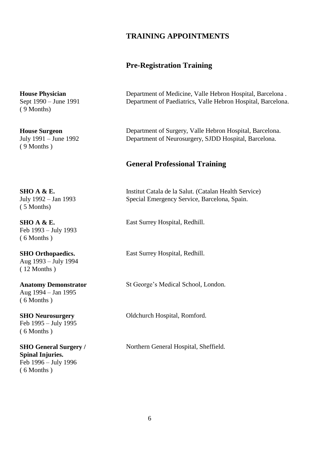#### **TRAINING APPOINTMENTS**

#### **Pre-Registration Training**

**House Physician** Sept 1990 – June 1991 ( 9 Months)

**House Surgeon** July 1991 – June 1992 ( 9 Months )

**SHO A & E.** July 1992 – Jan 1993 ( 5 Months)

**SHO A & E.** Feb 1993 – July 1993 ( 6 Months )

**SHO Orthopaedics.** Aug 1993 – July 1994 ( 12 Months )

**Anatomy Demonstrator** Aug 1994 – Jan 1995 ( 6 Months )

**SHO Neurosurgery** Feb 1995 – July 1995 ( 6 Months )

**SHO General Surgery / Spinal Injuries.** Feb 1996 – July 1996 ( 6 Months )

Department of Medicine, Valle Hebron Hospital, Barcelona . Department of Paediatrics, Valle Hebron Hospital, Barcelona.

Department of Surgery, Valle Hebron Hospital, Barcelona. Department of Neurosurgery, SJDD Hospital, Barcelona.

#### **General Professional Training**

Institut Catala de la Salut. (Catalan Health Service) Special Emergency Service, Barcelona, Spain.

East Surrey Hospital, Redhill.

East Surrey Hospital, Redhill.

St George's Medical School, London.

Oldchurch Hospital, Romford.

Northern General Hospital, Sheffield.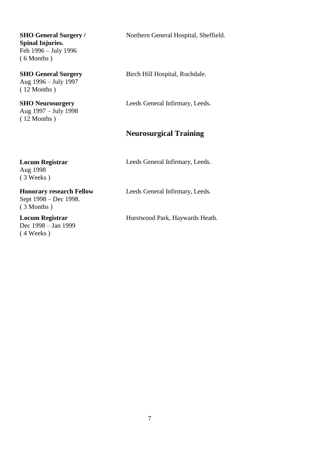**SHO General Surgery / Spinal Injuries.** Feb 1996 – July 1996 ( 6 Months )

**SHO General Surgery** Aug 1996 – July 1997 ( 12 Months )

**SHO Neurosurgery** Aug 1997 – July 1998 ( 12 Months )

**Locum Registrar**

Aug 1998 ( 3 Weeks ) Northern General Hospital, Sheffield.

Birch Hill Hospital, Rochdale.

Leeds General Infirmary, Leeds.

## **Neurosurgical Training**

Leeds General Infirmary, Leeds.

**Honorary research Fellow**  Sept 1998 – Dec 1998. ( 3 Months )

**Locum Registrar** Dec 1998 – Jan 1999 ( 4 Weeks )

Leeds General Infirmary, Leeds.

Hurstwood Park, Haywards Heath.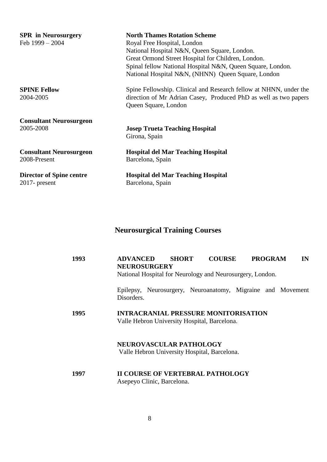| <b>SPR</b> in Neurosurgery<br>Feb $1999 - 2004$ | <b>North Thames Rotation Scheme</b><br>Royal Free Hospital, London<br>National Hospital N&N, Queen Square, London.<br>Great Ormond Street Hospital for Children, London.<br>Spinal fellow National Hospital N&N, Queen Square, London.<br>National Hospital N&N, (NHNN) Queen Square, London |
|-------------------------------------------------|----------------------------------------------------------------------------------------------------------------------------------------------------------------------------------------------------------------------------------------------------------------------------------------------|
| <b>SPINE Fellow</b><br>2004-2005                | Spine Fellowship. Clinical and Research fellow at NHNN, under the<br>direction of Mr Adrian Casey, Produced PhD as well as two papers<br>Queen Square, London                                                                                                                                |
| <b>Consultant Neurosurgeon</b>                  | <b>Josep Trueta Teaching Hospital</b>                                                                                                                                                                                                                                                        |
| 2005-2008                                       | Girona, Spain                                                                                                                                                                                                                                                                                |
| <b>Consultant Neurosurgeon</b>                  | <b>Hospital del Mar Teaching Hospital</b>                                                                                                                                                                                                                                                    |
| 2008-Present                                    | Barcelona, Spain                                                                                                                                                                                                                                                                             |
| <b>Director of Spine centre</b>                 | <b>Hospital del Mar Teaching Hospital</b>                                                                                                                                                                                                                                                    |
| $2017$ - present                                | Barcelona, Spain                                                                                                                                                                                                                                                                             |

# **Neurosurgical Training Courses**

| 1993 | <b>COURSE</b><br><b>ADVANCED</b><br><b>SHORT</b><br><b>PROGRAM</b><br>IN<br><b>NEUROSURGERY</b><br>National Hospital for Neurology and Neurosurgery, London. |
|------|--------------------------------------------------------------------------------------------------------------------------------------------------------------|
|      | Epilepsy, Neurosurgery, Neuroanatomy, Migraine and Movement<br>Disorders.                                                                                    |
| 1995 | <b>INTRACRANIAL PRESSURE MONITORISATION</b><br>Valle Hebron University Hospital, Barcelona.                                                                  |
|      | <b>NEUROVASCULAR PATHOLOGY</b><br>Valle Hebron University Hospital, Barcelona.                                                                               |
| 1997 | <b>II COURSE OF VERTEBRAL PATHOLOGY</b><br>Asepeyo Clinic, Barcelona.                                                                                        |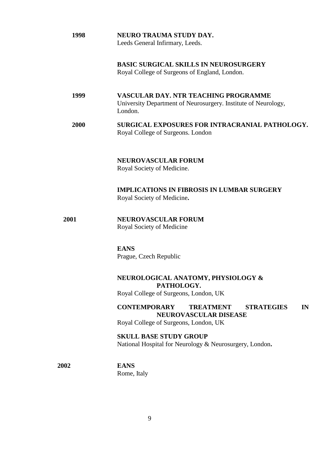| 1998        | <b>NEURO TRAUMA STUDY DAY.</b><br>Leeds General Infirmary, Leeds.                                                                    |
|-------------|--------------------------------------------------------------------------------------------------------------------------------------|
|             | <b>BASIC SURGICAL SKILLS IN NEUROSURGERY</b><br>Royal College of Surgeons of England, London.                                        |
| 1999        | <b>VASCULAR DAY. NTR TEACHING PROGRAMME</b><br>University Department of Neurosurgery. Institute of Neurology,<br>London.             |
| 2000        | SURGICAL EXPOSURES FOR INTRACRANIAL PATHOLOGY.<br>Royal College of Surgeons. London                                                  |
|             | <b>NEUROVASCULAR FORUM</b><br>Royal Society of Medicine.                                                                             |
|             | <b>IMPLICATIONS IN FIBROSIS IN LUMBAR SURGERY</b><br>Royal Society of Medicine.                                                      |
| 2001        | <b>NEUROVASCULAR FORUM</b><br>Royal Society of Medicine                                                                              |
|             | <b>EANS</b><br>Prague, Czech Republic                                                                                                |
|             | NEUROLOGICAL ANATOMY, PHYSIOLOGY &<br>PATHOLOGY.<br>Royal College of Surgeons, London, UK                                            |
|             | <b>CONTEMPORARY</b><br><b>TREATMENT</b><br><b>STRATEGIES</b><br>IN<br>NEUROVASCULAR DISEASE<br>Royal College of Surgeons, London, UK |
|             | <b>SKULL BASE STUDY GROUP</b><br>National Hospital for Neurology & Neurosurgery, London.                                             |
| <b>2002</b> | <b>EANS</b><br>Rome, Italy                                                                                                           |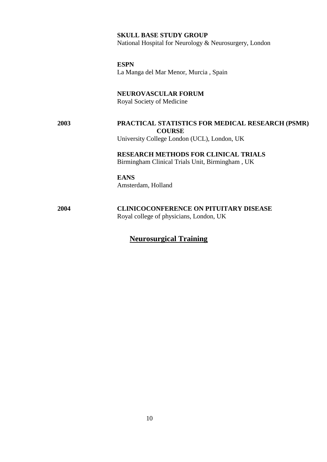#### **SKULL BASE STUDY GROUP**

National Hospital for Neurology & Neurosurgery, London

**ESPN** La Manga del Mar Menor, Murcia , Spain

**NEUROVASCULAR FORUM** Royal Society of Medicine **2003 PRACTICAL STATISTICS FOR MEDICAL RESEARCH (PSMR)** 

**COURSE** University College London (UCL), London, UK

> **RESEARCH METHODS FOR CLINICAL TRIALS** Birmingham Clinical Trials Unit, Birmingham , UK

**EANS** Amsterdam, Holland

**2004 CLINICOCONFERENCE ON PITUITARY DISEASE** Royal college of physicians, London, UK

## **Neurosurgical Training**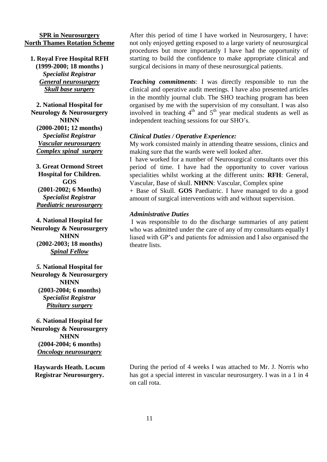#### **SPR in Neurosurgery North Thames Rotation Scheme**

**1. Royal Free Hospital RFH (1999-2000; 18 months )** *Specialist Registrar General neurosurgery Skull base surgery*

**2. National Hospital for Neurology & Neurosurgery NHNN (2000-2001; 12 months)** *Specialist Registrar Vascular neurosurgery Complex spinal surgery*

**3. Great Ormond Street Hospital for Children. GOS (2001-2002; 6 Months)** *Specialist Registrar Paediatric neurosurgery*

**4. National Hospital for Neurology & Neurosurgery NHNN (2002-2003; 18 months)** *Spinal Fellow*

*5.* **National Hospital for Neurology & Neurosurgery NHNN (2003-2004; 6 months)** *Specialist Registrar Pituitary surgery*

*6.* **National Hospital for Neurology & Neurosurgery NHNN (2004-2004; 6 months)** *Oncology neurosurgery*

**Haywards Heath. Locum Registrar Neurosurgery.**

After this period of time I have worked in Neurosurgery, I have: not only enjoyed getting exposed to a large variety of neurosurgical procedures but more importantly I have had the opportunity of starting to build the confidence to make appropriate clinical and surgical decisions in many of these neurosurgical patients.

*Teaching commitments*: I was directly responsible to run the clinical and operative audit meetings. I have also presented articles in the monthly journal club. The SHO teaching program has been organised by me with the supervision of my consultant. I was also involved in teaching  $4<sup>th</sup>$  and  $5<sup>th</sup>$  year medical students as well as independent teaching sessions for our SHO's.

#### *Clinical Duties / Operative Experience:*

My work consisted mainly in attending theatre sessions, clinics and making sure that the wards were well looked after.

I have worked for a number of Neurosurgical consultants over this period of time. I have had the opportunity to cover various specialities whilst working at the different units: **RFH**: General, Vascular, Base of skull. **NHNN**: Vascular, Complex spine

+ Base of Skull. **GOS** Paediatric. I have managed to do a good amount of surgical interventions with and without supervision.

#### *Administrative Duties*

I was responsible to do the discharge summaries of any patient who was admitted under the care of any of my consultants equally I liased with GP's and patients for admission and I also organised the theatre lists.

During the period of 4 weeks I was attached to Mr. J. Norris who has got a special interest in vascular neurosurgery. I was in a 1 in 4 on call rota.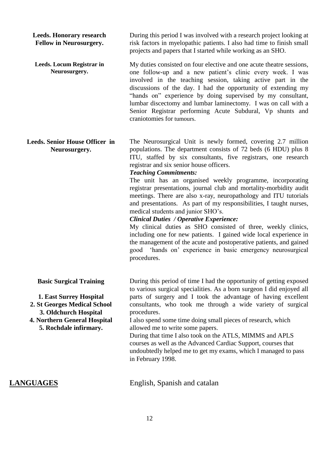**Leeds. Honorary research Fellow in Neurosurgery.** During this period I was involved with a research project looking at risk factors in myelopathic patients. I also had time to finish small projects and papers that I started while working as an SHO.

**Leeds. Locum Registrar in Neurosurgery.** My duties consisted on four elective and one acute theatre sessions, one follow-up and a new patient's clinic every week. I was involved in the teaching session, taking active part in the discussions of the day. I had the opportunity of extending my "hands on" experience by doing supervised by my consultant, lumbar discectomy and lumbar laminectomy. I was on call with a Senior Registrar performing Acute Subdural, Vp shunts and craniotomies for tumours.

**Leeds. Senior House Officer in Neurosurgery.** The Neurosurgical Unit is newly formed, covering 2.7 million populations. The department consists of 72 beds (6 HDU) plus 8 ITU, staffed by six consultants, five registrars, one research registrar and six senior house officers.

*Teaching Commitments:*

The unit has an organised weekly programme, incorporating registrar presentations, journal club and mortality-morbidity audit meetings. There are also x-ray, neuropathology and ITU tutorials and presentations. As part of my responsibilities, I taught nurses, medical students and junior SHO's.

#### *Clinical Duties / Operative Experience:*

My clinical duties as SHO consisted of three, weekly clinics, including one for new patients. I gained wide local experience in the management of the acute and postoperative patients, and gained good 'hands on' experience in basic emergency neurosurgical procedures.

**Basic Surgical Training 1. East Surrey Hospital 2. St Georges Medical School 3. Oldchurch Hospital 4. Northern General Hospital 5. Rochdale infirmary.** During this period of time I had the opportunity of getting exposed to various surgical specialities. As a born surgeon I did enjoyed all parts of surgery and I took the advantage of having excellent consultants, who took me through a wide variety of surgical procedures. I also spend some time doing small pieces of research, which allowed me to write some papers.

During that time I also took on the ATLS, MIMMS and APLS courses as well as the Advanced Cardiac Support, courses that undoubtedly helped me to get my exams, which I managed to pass in February 1998.

**LANGUAGES** English, Spanish and catalan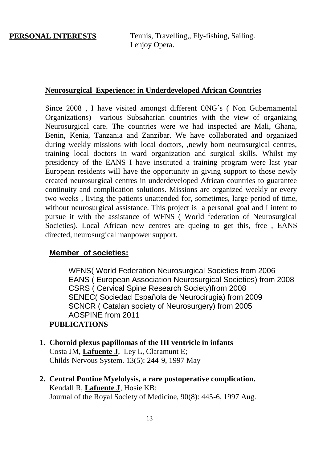**PERSONAL INTERESTS** Tennis, Travelling,, Fly-fishing, Sailing. I enjoy Opera.

## **Neurosurgical Experience: in Underdeveloped African Countries**

Since 2008 , I have visited amongst different ONG´s ( Non Gubernamental Organizations) various Subsaharian countries with the view of organizing Neurosurgical care. The countries were we had inspected are Mali, Ghana, Benin, Kenia, Tanzania and Zanzibar. We have collaborated and organized during weekly missions with local doctors, ,newly born neurosurgical centres, training local doctors in ward organization and surgical skills. Whilst my presidency of the EANS I have instituted a training program were last year European residents will have the opportunity in giving support to those newly created neurosurgical centres in underdeveloped African countries to guarantee continuity and complication solutions. Missions are organized weekly or every two weeks , living the patients unattended for, sometimes, large period of time, without neurosurgical assistance. This project is a personal goal and I intent to pursue it with the assistance of WFNS ( World federation of Neurosurgical Societies). Local African new centres are queing to get this, free , EANS directed, neurosurgical manpower support.

## **Member of societies:**

WFNS( World Federation Neurosurgical Societies from 2006 EANS ( European Association Neurosurgical Societies) from 2008 CSRS ( Cervical Spine Research Society)from 2008 SENEC( Sociedad Española de Neurocirugia) from 2009 SCNCR ( Catalan society of Neurosurgery) from 2005 AOSPINE from 2011

## **PUBLICATIONS**

- **1. Choroid plexus papillomas of the III ventricle in infants** Costa JM, **Lafuente J**, Ley L, Claramunt E; Childs Nervous System. 13(5): 244-9, 1997 May
- **2. Central Pontine Myelolysis, a rare postoperative complication.** Kendall R, **Lafuente J**, Hosie KB; Journal of the Royal Society of Medicine, 90(8): 445-6, 1997 Aug.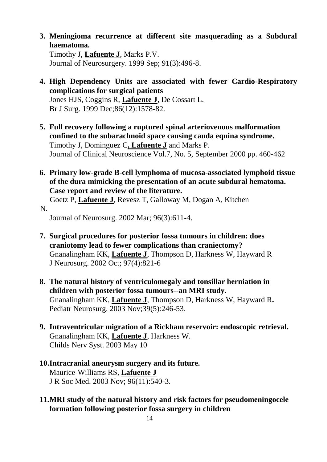- **3. Meningioma recurrence at different site masquerading as a Subdural haematoma.** Timothy J, **Lafuente J**, Marks P.V. Journal of Neurosurgery. 1999 Sep; 91(3):496-8.
- **4. High Dependency Units are associated with fewer Cardio-Respiratory complications for surgical patients** Jones HJS, Coggins R, **Lafuente J**, De Cossart L. Br J Surg. 1999 Dec;86(12):1578-82.
- **5. Full recovery following a ruptured spinal arteriovenous malformation confined to the subarachnoid space causing cauda equina syndrome.** Timothy J, Dominguez C**, Lafuente J** and Marks P. Journal of Clinical Neuroscience Vol.7, No. 5, September 2000 pp. 460-462
- **6. Primary low-grade B-cell lymphoma of mucosa-associated lymphoid tissue of the dura mimicking the presentation of an acute subdural hematoma. Case report and review of the literature. 7.** Goetz P, **Lafuente J**[, Revesz T, Galloway M, Dogan A, Kitchen](http://www.ncbi.nlm.nih.gov/entrez/query.fcgi?cmd=Retrieve&db=PubMed&list_uids=11883850&dopt=Abstract)  [N.](http://www.ncbi.nlm.nih.gov/entrez/query.fcgi?cmd=Retrieve&db=PubMed&list_uids=11883850&dopt=Abstract)

Journal of Neurosurg. 2002 Mar; 96(3):611-4.

- **7. Surgical procedures for posterior fossa tumours in children: does craniotomy lead to fewer complications than craniectomy?** Gnanalingham KK, **Lafuente J**, Thompson D, Harkness W, Hayward R J Neurosurg. 2002 Oct; 97(4):821-6
- **8. The natural history of ventriculomegaly and tonsillar herniation in children with posterior fossa tumours--an MRI study.** Gnanalingham KK, **Lafuente J**, Thompson D, Harkness W, Hayward R**.** Pediatr Neurosurg. 2003 Nov;39(5):246-53.
- **9. Intraventricular migration of a Rickham reservoir: endoscopic retrieval.** Gnanalingham KK, **Lafuente J**, Harkness W. Childs Nerv Syst. 2003 May 10
- **10.Intracranial aneurysm surgery and its future.** Maurice-Williams RS, **Lafuente J** J R Soc Med. 2003 Nov; 96(11):540-3.
- **11.MRI study of the natural history and risk factors for pseudomeningocele formation following posterior fossa surgery in children**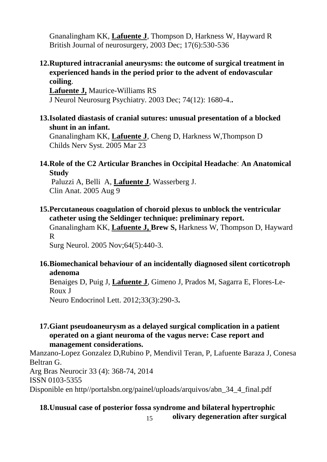Gnanalingham KK, **Lafuente J**, Thompson D, Harkness W, Hayward R British Journal of neurosurgery, 2003 Dec; 17(6):530-536

## **12.Ruptured intracranial aneurysms: the outcome of surgical treatment in experienced hands in the period prior to the advent of endovascular coiling**.

**Lafuente J,** Maurice-Williams RS J Neurol Neurosurg Psychiatry. 2003 Dec; 74(12): 1680-4.**.**

## **13.Isolated diastasis of cranial sutures: unusual presentation of a blocked shunt in an infant.**

Gnanalingham KK, **Lafuente J**, Cheng D, Harkness W,Thompson D Childs Nerv Syst. 2005 Mar 23

## **14.Role of the C2 Articular Branches in Occipital Headache**: **An Anatomical Study**

Paluzzi A, Belli A, **Lafuente J**, Wasserberg J. Clin Anat. 2005 Aug 9

## **15.Percutaneous coagulation of choroid plexus to unblock the ventricular catheter using the Seldinger technique: preliminary report.**

Gnanalingham KK, **Lafuente J, Brew S,** Harkness W, Thompson D, Hayward R

Surg Neurol. 2005 Nov;64(5):440-3.

## **16.Biomechanical behaviour of an incidentally diagnosed silent corticotroph adenoma**

Benaiges D, Puig J, **Lafuente J**, Gimeno J, Prados M, Sagarra E, Flores-Le-Roux J

Neuro Endocrinol Lett. 2012;33(3):290-3**.**

## **17.Giant pseudoaneurysm as a delayed surgical complication in a patient operated on a giant neuroma of the vagus nerve: Case report and management considerations.**

Manzano-Lopez Gonzalez D,Rubino P, Mendivil Teran, P, Lafuente Baraza J, Conesa Beltran G. Arg Bras Neurocir 33 (4): 368-74, 2014 ISSN 0103-5355 Disponible en http//portalsbn.org/painel/uploads/arquivos/abn 34 4 final.pdf

#### **18.Unusual case of posterior fossa syndrome and bilateral hypertrophic olivary degeneration after surgical**

15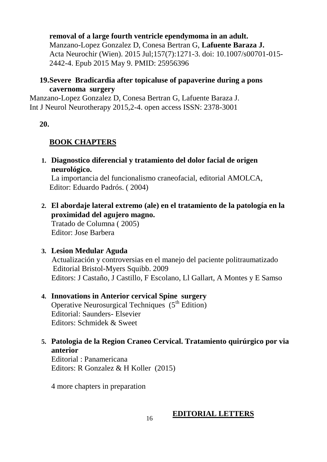## **removal of a large fourth ventricle ependymoma in an adult.**

Manzano-Lopez Gonzalez D, Conesa Bertran G, **Lafuente Baraza J.** Acta Neurochir (Wien). 2015 Jul;157(7):1271-3. doi: 10.1007/s00701-015- 2442-4. Epub 2015 May 9. PMID: 25956396

## **19.Severe Bradicardia after topicaluse of papaverine during a pons cavernoma surgery**

Manzano-Lopez Gonzalez D, Conesa Bertran G, Lafuente Baraza J. Int J Neurol Neurotherapy 2015,2-4. open access ISSN: 2378-3001

**20.**

## **BOOK CHAPTERS**

**1. Diagnostico diferencial y tratamiento del dolor facial de origen neurológico.**

La importancia del funcionalismo craneofacial, editorial AMOLCA, Editor: Eduardo Padrós. ( 2004)

**2. El abordaje lateral extremo (ale) en el tratamiento de la patología en la proximidad del agujero magno.**

Tratado de Columna ( 2005) Editor: Jose Barbera

**3. Lesion Medular Aguda**

Actualización y controversias en el manejo del paciente politraumatizado Editorial Bristol-Myers Squibb. 2009 Editors: J Castaño, J Castillo, F Escolano, Ll Gallart, A Montes y E Samso

# **4. Innovations in Anterior cervical Spine surgery**

Operative Neurosurgical Techniques  $(5<sup>th</sup> Edition)$ Editorial: Saunders- Elsevier Editors: Schmidek & Sweet

**5. Patologia de la Region Craneo Cervical. Tratamiento quirúrgico por via anterior**

Editorial : Panamericana Editors: R Gonzalez & H Koller (2015)

4 more chapters in preparation

## **EDITORIAL LETTERS**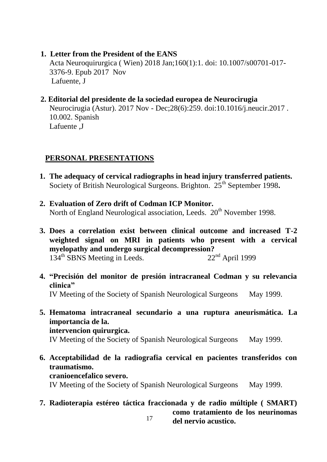**1. Letter from the President of the EANS**

Acta Neuroquirurgica ( Wien) 2018 Jan;160(1):1. doi: 10.1007/s00701-017- 3376-9. Epub 2017 Nov Lafuente, J

**2. Editorial del presidente de la sociedad europea de Neurocirugia** Neurocirugia (Astur). 2017 Nov - Dec;28(6):259. doi:10.1016/j.neucir.2017 . 10.002. Spanish

Lafuente ,J

## **PERSONAL PRESENTATIONS**

- **1. The adequacy of cervical radiographs in head injury transferred patients.** Society of British Neurological Surgeons. Brighton. 25<sup>th</sup> September 1998.
- **2. Evaluation of Zero drift of Codman ICP Monitor.** North of England Neurological association, Leeds.  $20^{th}$  November 1998.
- **3. Does a correlation exist between clinical outcome and increased T-2 weighted signal on MRI in patients who present with a cervical**  myelopathy and undergo surgical decompression?<br>134<sup>th</sup> SBNS Meeting in Leeds. 22<sup>nd</sup> April 1999  $134<sup>th</sup>$  SBNS Meeting in Leeds.
- **4. "Precisión del monitor de presión intracraneal Codman y su relevancia clinica"** IV Meeting of the Society of Spanish Neurological Surgeons May 1999.
- **5. Hematoma intracraneal secundario a una ruptura aneurismática. La importancia de la.**

## **intervencion quirurgica.**

IV Meeting of the Society of Spanish Neurological Surgeons May 1999.

**6. Acceptabilidad de la radiografia cervical en pacientes transferidos con traumatismo.**

## **cranioencefalico severo.**

IV Meeting of the Society of Spanish Neurological Surgeons May 1999.

**7. Radioterapia estéreo táctica fraccionada y de radio múltiple ( SMART) como tratamiento de los neurinomas** 

17

**del nervio acustico.**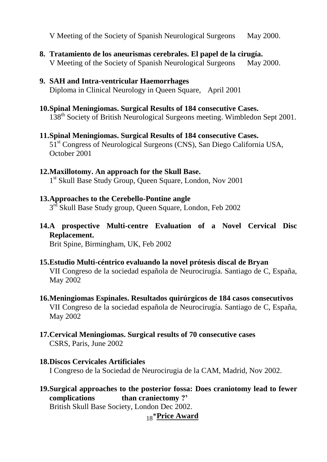V Meeting of the Society of Spanish Neurological Surgeons May 2000.

- **8. Tratamiento de los aneurismas cerebrales. El papel de la cirugía.** V Meeting of the Society of Spanish Neurological Surgeons May 2000.
- **9. SAH and Intra-ventricular Haemorrhages** Diploma in Clinical Neurology in Queen Square, April 2001
- **10.Spinal Meningiomas. Surgical Results of 184 consecutive Cases.** 138<sup>th</sup> Society of British Neurological Surgeons meeting. Wimbledon Sept 2001.
- **11.Spinal Meningiomas. Surgical Results of 184 consecutive Cases.** 51st Congress of Neurological Surgeons (CNS), San Diego California USA, October 2001

## **12.Maxillotomy. An approach for the Skull Base.**

1 st Skull Base Study Group, Queen Square, London, Nov 2001

## **13.Approaches to the Cerebello-Pontine angle**

3<sup>rd</sup> Skull Base Study group, Queen Square, London, Feb 2002

**14.A prospective Multi-centre Evaluation of a Novel Cervical Disc Replacement.**

Brit Spine, Birmingham, UK, Feb 2002

- **15.Estudio Multi-céntrico evaluando la novel prótesis discal de Bryan** VII Congreso de la sociedad española de Neurocirugía. Santiago de C, España, May 2002
- **16.Meningiomas Espinales. Resultados quirúrgicos de 184 casos consecutivos** VII Congreso de la sociedad española de Neurocirugía. Santiago de C, España, May 2002
- **17.Cervical Meningiomas. Surgical results of 70 consecutive cases** CSRS, Paris, June 2002

#### **18.Discos Cervicales Artificiales** I Congreso de la Sociedad de Neurocirugia de la CAM, Madrid, Nov 2002.

**19.Surgical approaches to the posterior fossa: Does craniotomy lead to fewer**  than craniectomy ?' British Skull Base Society, London Dec 2002.

18 \***Price Award**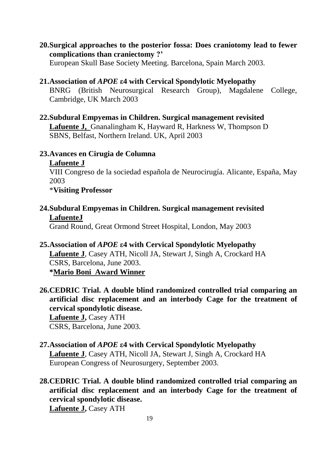**20.Surgical approaches to the posterior fossa: Does craniotomy lead to fewer complications than craniectomy ?'**

European Skull Base Society Meeting. Barcelona, Spain March 2003.

**21.Association of** *APOE* **ε4 with Cervical Spondylotic Myelopathy** 

BNRG (British Neurosurgical Research Group), Magdalene College, Cambridge, UK March 2003

**22.Subdural Empyemas in Children. Surgical management revisited Lafuente J,** Gnanalingham K, Hayward R, Harkness W, Thompson D SBNS, Belfast, Northern Ireland. UK, April 2003

## **23.Avances en Cirugia de Columna**

## **Lafuente J**

VIII Congreso de la sociedad española de Neurocirugía. Alicante, España, May 2003

## \***Visiting Professor**

**24.Subdural Empyemas in Children. Surgical management revisited LafuenteJ**

Grand Round, Great Ormond Street Hospital, London, May 2003

**25.Association of** *APOE* **ε4 with Cervical Spondylotic Myelopathy** 

**Lafuente J**, Casey ATH, Nicoll JA, Stewart J, Singh A, Crockard HA CSRS, Barcelona, June 2003. **\*Mario Boni Award Winner**

**26.CEDRIC Trial. A double blind randomized controlled trial comparing an artificial disc replacement and an interbody Cage for the treatment of cervical spondylotic disease. Lafuente J,** Casey ATH

CSRS, Barcelona, June 2003.

- **27.Association of** *APOE* **ε4 with Cervical Spondylotic Myelopathy Lafuente J**, Casey ATH, Nicoll JA, Stewart J, Singh A, Crockard HA European Congress of Neurosurgery, September 2003.
- **28.CEDRIC Trial. A double blind randomized controlled trial comparing an artificial disc replacement and an interbody Cage for the treatment of cervical spondylotic disease.**

**Lafuente J,** Casey ATH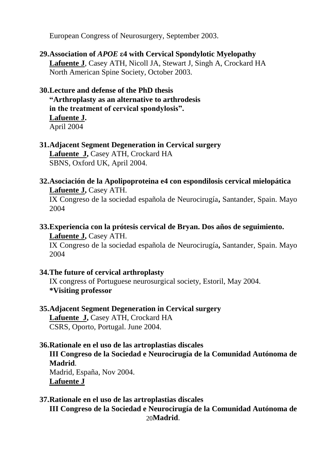European Congress of Neurosurgery, September 2003.

# **29.Association of** *APOE* **ε4 with Cervical Spondylotic Myelopathy**

**Lafuente J**, Casey ATH, Nicoll JA, Stewart J, Singh A, Crockard HA North American Spine Society, October 2003.

## **30.Lecture and defense of the PhD thesis**

**"Arthroplasty as an alternative to arthrodesis in the treatment of cervical spondylosis". Lafuente J.** April 2004

## **31.Adjacent Segment Degeneration in Cervical surgery** Lafuente J, Casey ATH, Crockard HA SBNS, Oxford UK, April 2004.

## **32.Asociación de la Apolipoproteina e4 con espondilosis cervical mielopática Lafuente J,** Casey ATH.

IX Congreso de la sociedad española de Neurocirugía**,** Santander, Spain. Mayo 2004

**33.Experiencia con la prótesis cervical de Bryan. Dos años de seguimiento.** Lafuente **J**, Casey ATH.

IX Congreso de la sociedad española de Neurocirugía**,** Santander, Spain. Mayo 2004

## **34.The future of cervical arthroplasty**

IX congress of Portuguese neurosurgical society, Estoril, May 2004. **\*Visiting professor**

## **35.Adjacent Segment Degeneration in Cervical surgery** Lafuente J, Casey ATH, Crockard HA

CSRS, Oporto, Portugal. June 2004.

## **36.Rationale en el uso de las artroplastias discales**

**III Congreso de la Sociedad e Neurocirugía de la Comunidad Autónoma de Madrid**.

Madrid, España, Nov 2004. **Lafuente J**

## **37.Rationale en el uso de las artroplastias discales**

20 **Madrid**.**III Congreso de la Sociedad e Neurocirugía de la Comunidad Autónoma de**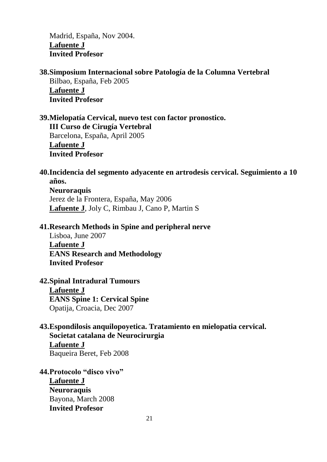Madrid, España, Nov 2004. **Lafuente J Invited Profesor**

**38.Simposium Internacional sobre Patología de la Columna Vertebral** Bilbao, España, Feb 2005 **Lafuente J Invited Profesor**

**39.Mielopatía Cervical, nuevo test con factor pronostico. III Curso de Cirugía Vertebral** Barcelona, España, April 2005 **Lafuente J Invited Profesor**

**40.Incidencia del segmento adyacente en artrodesis cervical. Seguimiento a 10 años. Neuroraquis** Jerez de la Frontera, España, May 2006 **Lafuente J**, Joly C, Rimbau J, Cano P, Martin S

#### **41.Research Methods in Spine and peripheral nerve**

Lisboa, June 2007 **Lafuente J EANS Research and Methodology Invited Profesor**

#### **42.Spinal Intradural Tumours**

**Lafuente J EANS Spine 1: Cervical Spine** Opatija, Croacia, Dec 2007

## **43.Espondilosis anquilopoyetica. Tratamiento en mielopatia cervical. Societat catalana de Neurocirurgia Lafuente J** Baqueira Beret, Feb 2008

**44.Protocolo "disco vivo" Lafuente J Neuroraquis** Bayona, March 2008 **Invited Profesor**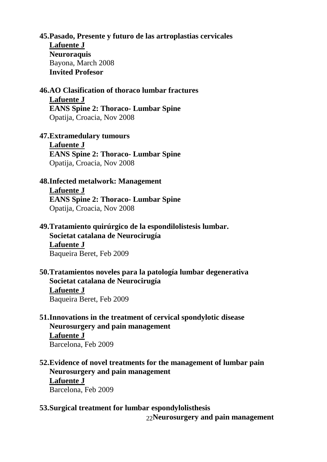**45.Pasado, Presente y futuro de las artroplastias cervicales Lafuente J Neuroraquis** Bayona, March 2008 **Invited Profesor**

**46.AO Clasification of thoraco lumbar fractures Lafuente J EANS Spine 2: Thoraco- Lumbar Spine**

Opatija, Croacia, Nov 2008

## **47.Extramedulary tumours**

**Lafuente J EANS Spine 2: Thoraco- Lumbar Spine** Opatija, Croacia, Nov 2008

## **48.Infected metalwork: Management**

**Lafuente J**

**EANS Spine 2: Thoraco- Lumbar Spine** Opatija, Croacia, Nov 2008

# **49.Tratamiento quirúrgico de la espondilolistesis lumbar.**

**Societat catalana de Neurocirugía Lafuente J**  Baqueira Beret, Feb 2009

**50.Tratamientos noveles para la patología lumbar degenerativa Societat catalana de Neurocirugía Lafuente J**  Baqueira Beret, Feb 2009

## **51.Innovations in the treatment of cervical spondylotic disease Neurosurgery and pain management**

**Lafuente J** Barcelona, Feb 2009

- **52.Evidence of novel treatments for the management of lumbar pain Neurosurgery and pain management Lafuente J** Barcelona, Feb 2009
- **53.Surgical treatment for lumbar espondylolisthesis**

22 **Neurosurgery and pain management**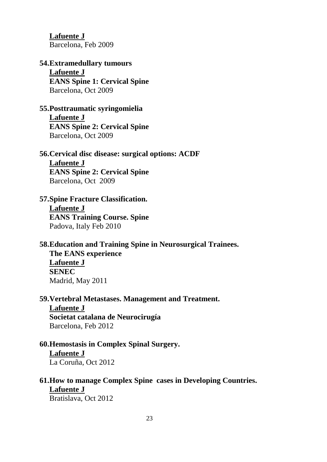**Lafuente J** Barcelona, Feb 2009

# **54.Extramedullary tumours Lafuente J**

**EANS Spine 1: Cervical Spine** Barcelona, Oct 2009

## **55.Posttraumatic syringomielia**

**Lafuente J EANS Spine 2: Cervical Spine** Barcelona, Oct 2009

#### **56.Cervical disc disease: surgical options: ACDF Lafuente J**

**EANS Spine 2: Cervical Spine** Barcelona, Oct 2009

## **57.Spine Fracture Classification. Lafuente J**

**EANS Training Course. Spine** Padova, Italy Feb 2010

## **58.Education and Training Spine in Neurosurgical Trainees. The EANS experience**

**Lafuente J SENEC** Madrid, May 2011

# **59.Vertebral Metastases. Management and Treatment.**

**Lafuente J Societat catalana de Neurocirugía**  Barcelona, Feb 2012

# **60.Hemostasis in Complex Spinal Surgery.**

**Lafuente J** La Coruña, Oct 2012

# **61.How to manage Complex Spine cases in Developing Countries. Lafuente J**

Bratislava, Oct 2012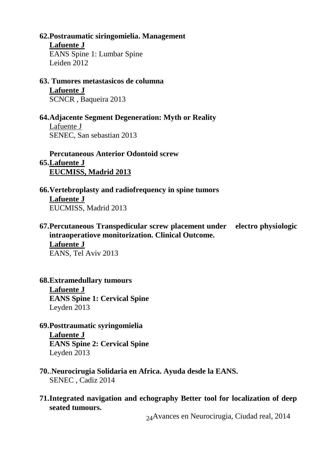## **62.Postraumatic siringomielia. Management**

**Lafuente J**

EANS Spine 1: Lumbar Spine Leiden 2012

**63. Tumores metastasicos de columna**

**Lafuente J**

SCNCR , Baqueira 2013

## **64.Adjacente Segment Degeneration: Myth or Reality**

Lafuente J SENEC, San sebastian 2013

**Percutaneous Anterior Odontoid screw**

**65.Lafuente J EUCMISS, Madrid 2013**

- **66.Vertebroplasty and radiofrequency in spine tumors Lafuente J** EUCMISS, Madrid 2013
- **67.Percutaneous Transpedicular screw placement under electro physiologic intraoperatiove monitorization. Clinical Outcome. Lafuente J** EANS, Tel Aviv 2013
- **68.Extramedullary tumours Lafuente J EANS Spine 1: Cervical Spine** Leyden 2013
- **69.Posttraumatic syringomielia Lafuente J EANS Spine 2: Cervical Spine**

Leyden 2013

- **70.**.**Neurocirugia Solidaria en Africa. Ayuda desde la EANS.** SENEC , Cadiz 2014
- **71.Integrated navigation and echography Better tool for localization of deep seated tumours.**

24 Avances en Neurocirugia, Ciudad real, 2014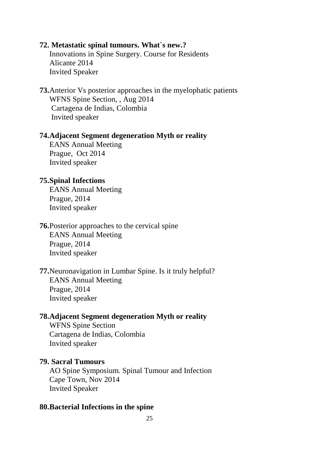#### **72. Metastatic spinal tumours. What´s new.?**

Innovations in Spine Surgery. Course for Residents Alicante 2014 Invited Speaker

**73.**Anterior Vs posterior approaches in the myelophatic patients WFNS Spine Section, , Aug 2014 Cartagena de Indias, Colombia Invited speaker

#### **74.Adjacent Segment degeneration Myth or reality**

EANS Annual Meeting Prague, Oct 2014 Invited speaker

#### **75.Spinal Infections**

EANS Annual Meeting Prague, 2014 Invited speaker

**76.**Posterior approaches to the cervical spine EANS Annual Meeting

Prague, 2014 Invited speaker

**77.**Neuronavigation in Lumbar Spine. Is it truly helpful? EANS Annual Meeting Prague, 2014 Invited speaker

#### **78.Adjacent Segment degeneration Myth or reality**

WFNS Spine Section Cartagena de Indias, Colombia Invited speaker

#### **79. Sacral Tumours**

AO Spine Symposium. Spinal Tumour and Infection Cape Town, Nov 2014 Invited Speaker

#### **80.Bacterial Infections in the spine**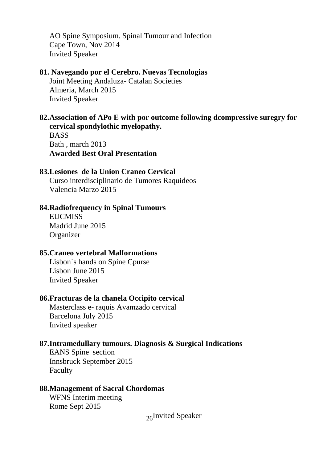AO Spine Symposium. Spinal Tumour and Infection Cape Town, Nov 2014 Invited Speaker

#### **81. Navegando por el Cerebro. Nuevas Tecnologias**

Joint Meeting Andaluza- Catalan Societies Almeria, March 2015 Invited Speaker

#### **82.Association of APo E with por outcome following dcompressive suregry for cervical spondylothic myelopathy.**

**BASS** Bath , march 2013 **Awarded Best Oral Presentation**

#### **83.Lesiones de la Union Craneo Cervical**

Curso interdisciplinario de Tumores Raquideos Valencia Marzo 2015

#### **84.Radiofrequency in Spinal Tumours**

**EUCMISS** Madrid June 2015 **Organizer** 

#### **85.Craneo vertebral Malformations**

Lisbon´s hands on Spine Cpurse Lisbon June 2015 Invited Speaker

#### **86.Fracturas de la chanela Occipito cervical**

Masterclass e- raquis Avamzado cervical Barcelona July 2015 Invited speaker

#### **87.Intramedullary tumours. Diagnosis & Surgical Indications**

EANS Spine section Innsbruck September 2015 Faculty

#### **88.Management of Sacral Chordomas**

WFNS Interim meeting Rome Sept 2015

26 Invited Speaker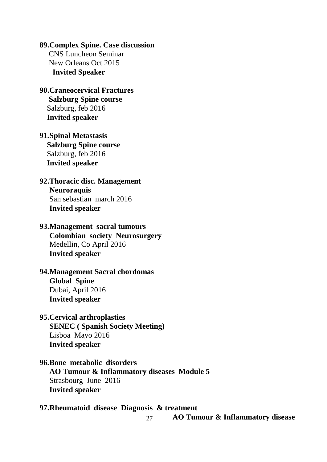## **89.Complex Spine. Case discussion**

 CNS Luncheon Seminar New Orleans Oct 2015  **Invited Speaker**

## **90.Craneocervical Fractures Salzburg Spine course** Salzburg, feb 2016  **Invited speaker**

## **91.Spinal Metastasis Salzburg Spine course** Salzburg, feb 2016  **Invited speaker**

## **92.Thoracic disc. Management Neuroraquis** San sebastian march 2016 **Invited speaker**

## **93.Management sacral tumours Colombian society Neurosurgery** Medellin, Co April 2016

# **Invited speaker**

## **94.Management Sacral chordomas Global Spine** Dubai, April 2016 **Invited speaker**

## **95.Cervical arthroplasties**

**SENEC ( Spanish Society Meeting)** Lisboa Mayo 2016 **Invited speaker**

## **96.Bone metabolic disorders AO Tumour & Inflammatory diseases Module 5** Strasbourg June 2016 **Invited speaker**

#### **97.Rheumatoid disease Diagnosis & treatment AO Tumour & Inflammatory disease**

27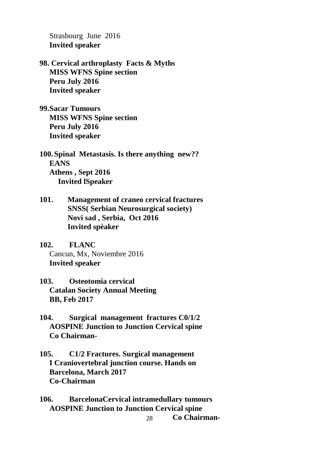Strasbourg June 2016 **Invited speaker**

**98. Cervical arthroplasty Facts & Myths MISS WFNS Spine section Peru July 2016 Invited speaker**

**99.Sacar Tumours MISS WFNS Spine section Peru July 2016 Invited speaker**

**100. Spinal Metastasis. Is there anything new?? EANS Athens , Sept 2016 Invited lSpeaker**

**101. Management of craneo cervical fractures SNSS( Serbian Neurosurgical society) Novi sad , Serbia, Oct 2016 Invited spèaker**

**102. FLANC** Cancun, Mx, Noviembre 2016 **Invited speaker**

- **103. Osteotomia cervical Catalan Society Annual Meeting BB, Feb 2017**
- **104. Surgical management fractures C0/1/2 AOSPINE Junction to Junction Cervical spine Co Chairman-**
- **105. C1/2 Fractures. Surgical management I Craniovertebral junction course. Hands on Barcelona, March 2017 Co-Chairman**

**106. BarcelonaCervical intramedullary tumours AOSPINE Junction to Junction Cervical spine**

```
28
Co Chairman-
```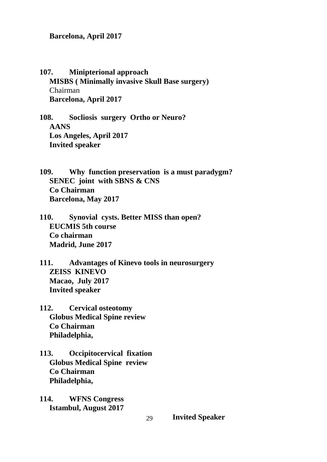**Barcelona, April 2017**

**107. Minipterional approach MISBS ( Minimally invasive Skull Base surgery)** Chairman **Barcelona, April 2017**

**108. Socliosis surgery Ortho or Neuro? AANS Los Angeles, April 2017 Invited speaker**

**109. Why function preservation is a must paradygm? SENEC joint with SBNS & CNS Co Chairman Barcelona, May 2017**

**110. Synovial cysts. Better MISS than open? EUCMIS 5th course Co chairman Madrid, June 2017**

**111. Advantages of Kinevo tools in neurosurgery ZEISS KINEVO Macao, July 2017 Invited speaker**

**112. Cervical osteotomy Globus Medical Spine review Co Chairman Philadelphia,**

**113. Occipitocervical fixation Globus Medical Spine review Co Chairman Philadelphia,**

**114. WFNS Congress Istambul, August 2017**

**Invited Speaker**

29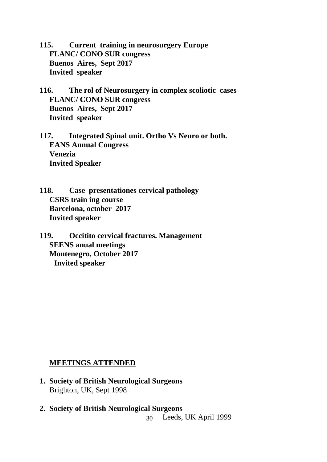**115. Current training in neurosurgery Europe FLANC/ CONO SUR congress Buenos Aires, Sept 2017 Invited speaker**

- **116. The rol of Neurosurgery in complex scoliotic cases FLANC/ CONO SUR congress Buenos Aires, Sept 2017 Invited speaker**
- **117. Integrated Spinal unit. Ortho Vs Neuro or both. EANS Annual Congress Venezia Invited Speake**r
- **118. Case presentationes cervical pathology CSRS train ing course Barcelona, october 2017 Invited speaker**
- **119. Occitito cervical fractures. Management SEENS anual meetings Montenegro, October 2017 Invited speaker**

## **MEETINGS ATTENDED**

- **1. Society of British Neurological Surgeons**  Brighton, UK, Sept 1998
- 30 **2. Society of British Neurological Surgeons**  Leeds, UK April 1999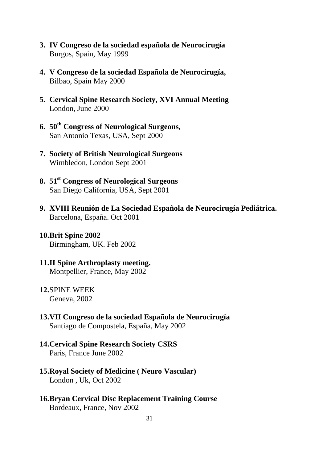- **3. IV Congreso de la sociedad española de Neurocirugía** Burgos, Spain, May 1999
- **4. V Congreso de la sociedad Española de Neurocirugía,**  Bilbao, Spain May 2000
- **5. Cervical Spine Research Society, XVI Annual Meeting**  London, June 2000
- **6. 50th Congress of Neurological Surgeons,**  San Antonio Texas, USA, Sept 2000
- **7. Society of British Neurological Surgeons** Wimbledon, London Sept 2001
- **8. 51st Congress of Neurological Surgeons** San Diego California, USA, Sept 2001
- **9. XVIII Reunión de La Sociedad Española de Neurocirugía Pediátrica.** Barcelona, España. Oct 2001
- **10.Brit Spine 2002** Birmingham, UK. Feb 2002
- **11.II Spine Arthroplasty meeting.**  Montpellier, France, May 2002
- **12.**SPINE WEEK Geneva, 2002
- **13.VII Congreso de la sociedad Española de Neurocirugía** Santiago de Compostela, España, May 2002
- **14.Cervical Spine Research Society CSRS** Paris, France June 2002
- **15.Royal Society of Medicine ( Neuro Vascular)** London , Uk, Oct 2002
- **16.Bryan Cervical Disc Replacement Training Course** Bordeaux, France, Nov 2002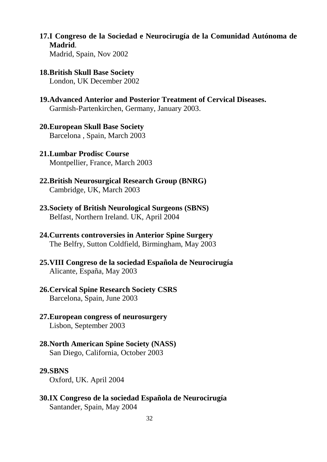- **17.I Congreso de la Sociedad e Neurocirugía de la Comunidad Autónoma de Madrid**. Madrid, Spain, Nov 2002
- **18.British Skull Base Society** London, UK December 2002
- **19.Advanced Anterior and Posterior Treatment of Cervical Diseases.** Garmish-Partenkirchen, Germany, January 2003.
- **20.European Skull Base Society** Barcelona , Spain, March 2003
- **21.Lumbar Prodisc Course**  Montpellier, France, March 2003
- **22.British Neurosurgical Research Group (BNRG)** Cambridge, UK, March 2003
- **23.Society of British Neurological Surgeons (SBNS)** Belfast, Northern Ireland. UK, April 2004
- **24.Currents controversies in Anterior Spine Surgery** The Belfry, Sutton Coldfield, Birmingham, May 2003
- **25.VIII Congreso de la sociedad Española de Neurocirugía** Alicante, España, May 2003
- **26.Cervical Spine Research Society CSRS** Barcelona, Spain, June 2003
- **27.European congress of neurosurgery** Lisbon, September 2003
- **28.North American Spine Society (NASS)** San Diego, California, October 2003

#### **29.SBNS**

Oxford, UK. April 2004

**30.IX Congreso de la sociedad Española de Neurocirugía** Santander, Spain, May 2004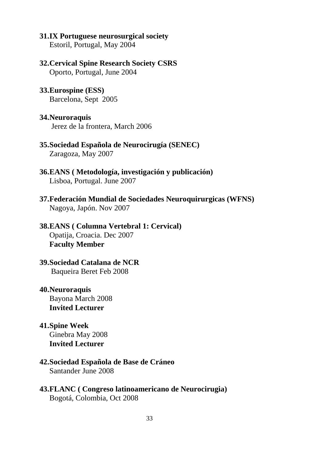#### **31.IX Portuguese neurosurgical society**

Estoril, Portugal, May 2004

#### **32.Cervical Spine Research Society CSRS**

Oporto, Portugal, June 2004

#### **33.Eurospine (ESS)**

Barcelona, Sept 2005

#### **34.Neuroraquis**

Jerez de la frontera, March 2006

- **35.Sociedad Española de Neurocirugía (SENEC)** Zaragoza, May 2007
- **36.EANS ( Metodología, investigación y publicación)** Lisboa, Portugal. June 2007
- **37.Federación Mundial de Sociedades Neuroquirurgicas (WFNS)** Nagoya, Japón. Nov 2007

## **38.EANS ( Columna Vertebral 1: Cervical)** Opatija, Croacia. Dec 2007 **Faculty Member**

### **39.Sociedad Catalana de NCR** Baqueira Beret Feb 2008

- **40.Neuroraquis**  Bayona March 2008 **Invited Lecturer**
- **41.Spine Week**  Ginebra May 2008 **Invited Lecturer**

#### **42.Sociedad Española de Base de Cráneo**  Santander June 2008

**43.FLANC ( Congreso latinoamericano de Neurocirugia)**  Bogotá, Colombia, Oct 2008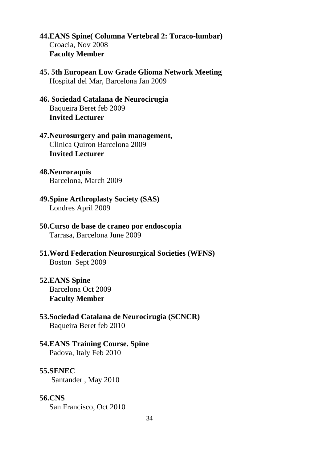- **44.EANS Spine( Columna Vertebral 2: Toraco-lumbar)** Croacia, Nov 2008 **Faculty Member**
- **45. 5th European Low Grade Glioma Network Meeting**  Hospital del Mar, Barcelona Jan 2009
- **46. Sociedad Catalana de Neurocirugia**  Baqueira Beret feb 2009 **Invited Lecturer**
- **47.Neurosurgery and pain management,**  Clinica Quiron Barcelona 2009 **Invited Lecturer**
- **48.Neuroraquis** Barcelona, March 2009
- **49.Spine Arthroplasty Society (SAS)**  Londres April 2009
- **50.Curso de base de craneo por endoscopia**  Tarrasa, Barcelona June 2009
- **51.Word Federation Neurosurgical Societies (WFNS)**  Boston Sept 2009
- **52.EANS Spine** Barcelona Oct 2009 **Faculty Member**
- **53.Sociedad Catalana de Neurocirugia (SCNCR)** Baqueira Beret feb 2010

#### **54.EANS Training Course. Spine** Padova, Italy Feb 2010

#### **55.SENEC**

Santander , May 2010

#### **56.CNS**

San Francisco, Oct 2010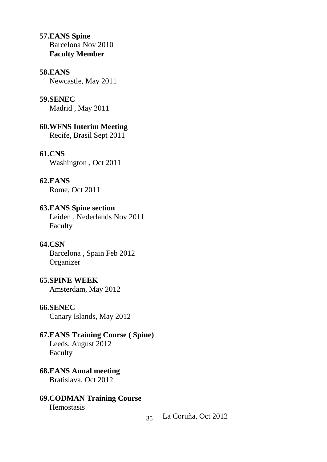**57.EANS Spine** Barcelona Nov 2010 **Faculty Member**

#### **58.EANS**

Newcastle, May 2011

#### **59.SENEC**

Madrid , May 2011

**60.WFNS Interim Meeting**

Recife, Brasil Sept 2011

#### **61.CNS**

Washington , Oct 2011

#### **62.EANS**

Rome, Oct 2011

### **63.EANS Spine section**

Leiden , Nederlands Nov 2011 Faculty

## **64.CSN**

Barcelona , Spain Feb 2012 **Organizer** 

#### **65.SPINE WEEK**

Amsterdam, May 2012

#### **66.SENEC**

Canary Islands, May 2012

#### **67.EANS Training Course ( Spine)**

Leeds, August 2012 Faculty

**68.EANS Anual meeting** Bratislava, Oct 2012

#### **69.CODMAN Training Course**

Hemostasis

35 La Coruña, Oct 2012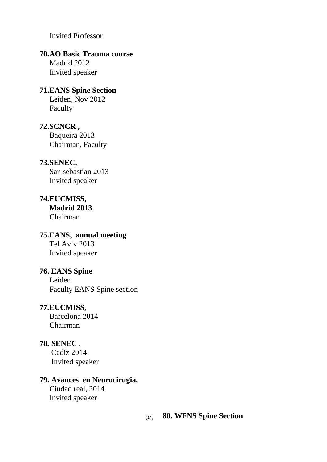Invited Professor

## **70.AO Basic Trauma course**

Madrid 2012 Invited speaker

# **71.EANS Spine Section**

Leiden, Nov 2012 Faculty

#### **72.SCNCR ,**

Baqueira 2013 Chairman, Faculty

## **73.SENEC,**

San sebastian 2013 Invited speaker

## **74.EUCMISS, Madrid 2013** Chairman

## **75.EANS, annual meeting** Tel Aviv 2013 Invited speaker

## **76. EANS Spine** Leiden Faculty EANS Spine section

## **77.EUCMISS,**

Barcelona 2014 Chairman

# **78. SENEC** ,

Cadiz 2014 Invited speaker

## **79. Avances en Neurocirugia,**

Ciudad real, 2014 Invited speaker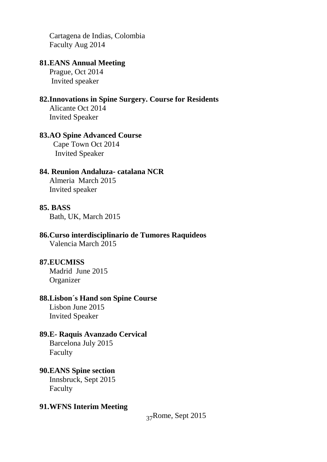Cartagena de Indias, Colombia Faculty Aug 2014

## **81.EANS Annual Meeting**

Prague, Oct 2014 Invited speaker

## **82.Innovations in Spine Surgery. Course for Residents**

Alicante Oct 2014 Invited Speaker

## **83.AO Spine Advanced Course**

 Cape Town Oct 2014 Invited Speaker

## **84. Reunion Andaluza- catalana NCR**

Almeria March 2015 Invited speaker

#### **85. BASS**

Bath, UK, March 2015

# **86.Curso interdisciplinario de Tumores Raquideos**

Valencia March 2015

## **87.EUCMISS**

Madrid June 2015 **Organizer** 

#### **88.Lisbon´s Hand son Spine Course**

Lisbon June 2015 Invited Speaker

## **89.E- Raquis Avanzado Cervical**

Barcelona July 2015 Faculty

## **90.EANS Spine section**

Innsbruck, Sept 2015 Faculty

## **91.WFNS Interim Meeting**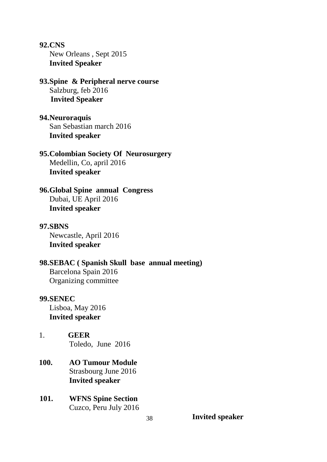**92.CNS** New Orleans , Sept 2015 **Invited Speaker**

**93.Spine & Peripheral nerve course** Salzburg, feb 2016  **Invited Speaker**

**94.Neuroraquis** San Sebastian march 2016 **Invited speaker**

**95.Colombian Society Of Neurosurgery** Medellin, Co, april 2016 **Invited speaker**

**96.Global Spine annual Congress** Dubai, UE April 2016 **Invited speaker**

### **97.SBNS** Newcastle, April 2016

**Invited speaker**

### **98.SEBAC ( Spanish Skull base annual meeting)** Barcelona Spain 2016

Organizing committee

#### **99.SENEC**

Lisboa, May 2016 **Invited speaker**

- 1. **GEER** Toledo, June 2016
- **100. AO Tumour Module** Strasbourg June 2016 **Invited speaker**
- **101. WFNS Spine Section** Cuzco, Peru July 2016

**Invited speaker**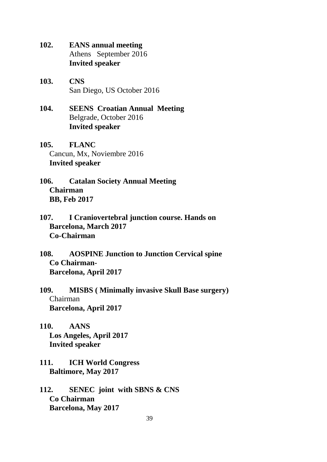**102. EANS annual meeting** Athens September 2016 **Invited speaker**

- **103. CNS** San Diego, US October 2016
- **104. SEENS Croatian Annual Meeting** Belgrade, October 2016 **Invited speaker**
- **105. FLANC** Cancun, Mx, Noviembre 2016 **Invited speaker**
- **106. Catalan Society Annual Meeting Chairman BB, Feb 2017**
- **107. I Craniovertebral junction course. Hands on Barcelona, March 2017 Co-Chairman**
- **108. AOSPINE Junction to Junction Cervical spine Co Chairman-Barcelona, April 2017**
- **109. MISBS ( Minimally invasive Skull Base surgery)** Chairman **Barcelona, April 2017**
- **110. AANS Los Angeles, April 2017 Invited speaker**
- **111. ICH World Congress Baltimore, May 2017**
- **112. SENEC joint with SBNS & CNS Co Chairman Barcelona, May 2017**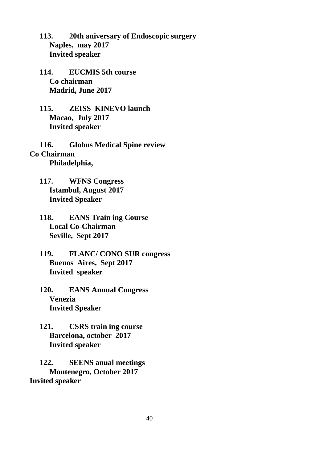**113. 20th aniversary of Endoscopic surgery Naples, may 2017 Invited speaker**

**114. EUCMIS 5th course Co chairman Madrid, June 2017**

**115. ZEISS KINEVO launch Macao, July 2017 Invited speaker**

**116. Globus Medical Spine review Co Chairman Philadelphia,**

- **117. WFNS Congress Istambul, August 2017 Invited Speaker**
- **118. EANS Train ing Course Local Co-Chairman Seville, Sept 2017**
- **119. FLANC/ CONO SUR congress Buenos Aires, Sept 2017 Invited speaker**
- **120. EANS Annual Congress Venezia Invited Speake**r
- **121. CSRS train ing course Barcelona, october 2017 Invited speaker**

**122. SEENS anual meetings Montenegro, October 2017 Invited speaker**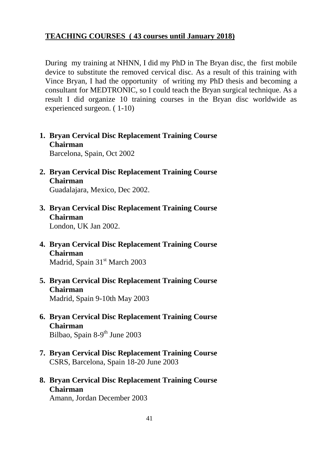## **TEACHING COURSES ( 43 courses until January 2018)**

During my training at NHNN, I did my PhD in The Bryan disc, the first mobile device to substitute the removed cervical disc. As a result of this training with Vince Bryan, I had the opportunity of writing my PhD thesis and becoming a consultant for MEDTRONIC, so I could teach the Bryan surgical technique. As a result I did organize 10 training courses in the Bryan disc worldwide as experienced surgeon. ( 1-10)

- **1. Bryan Cervical Disc Replacement Training Course Chairman** Barcelona, Spain, Oct 2002
- **2. Bryan Cervical Disc Replacement Training Course Chairman** Guadalajara, Mexico, Dec 2002.
- **3. Bryan Cervical Disc Replacement Training Course Chairman** London, UK Jan 2002.
- **4. Bryan Cervical Disc Replacement Training Course Chairman**
	- Madrid, Spain 31<sup>st</sup> March 2003
- **5. Bryan Cervical Disc Replacement Training Course Chairman** Madrid, Spain 9-10th May 2003
- **6. Bryan Cervical Disc Replacement Training Course Chairman** Bilbao, Spain 8-9<sup>th</sup> June 2003
- **7. Bryan Cervical Disc Replacement Training Course** CSRS, Barcelona, Spain 18-20 June 2003
- **8. Bryan Cervical Disc Replacement Training Course Chairman**

Amann, Jordan December 2003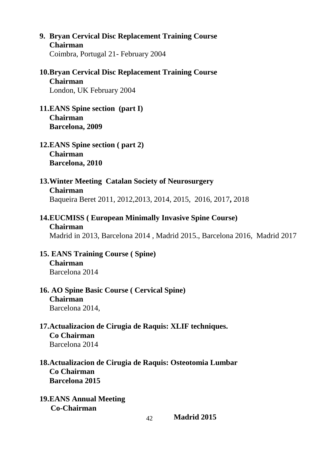- **9. Bryan Cervical Disc Replacement Training Course Chairman** Coimbra, Portugal 21- February 2004
- **10.Bryan Cervical Disc Replacement Training Course Chairman** London, UK February 2004
- **11.EANS Spine section (part I) Chairman Barcelona, 2009**
- **12.EANS Spine section ( part 2) Chairman Barcelona, 2010**
- **13.Winter Meeting Catalan Society of Neurosurgery Chairman** Baqueira Beret 2011, 2012,2013, 2014, 2015, 2016, 2017**,** 2018
- **14.EUCMISS ( European Minimally Invasive Spine Course) Chairman**

Madrid in 2013, Barcelona 2014 , Madrid 2015., Barcelona 2016, Madrid 2017

**15. EANS Training Course ( Spine) Chairman**

Barcelona 2014

**16. AO Spine Basic Course ( Cervical Spine)**

**Chairman**

- Barcelona 2014,
- **17.Actualizacion de Cirugia de Raquis: XLIF techniques. Co Chairman**

Barcelona 2014

**18.Actualizacion de Cirugia de Raquis: Osteotomia Lumbar Co Chairman Barcelona 2015**

**19.EANS Annual Meeting Co-Chairman**